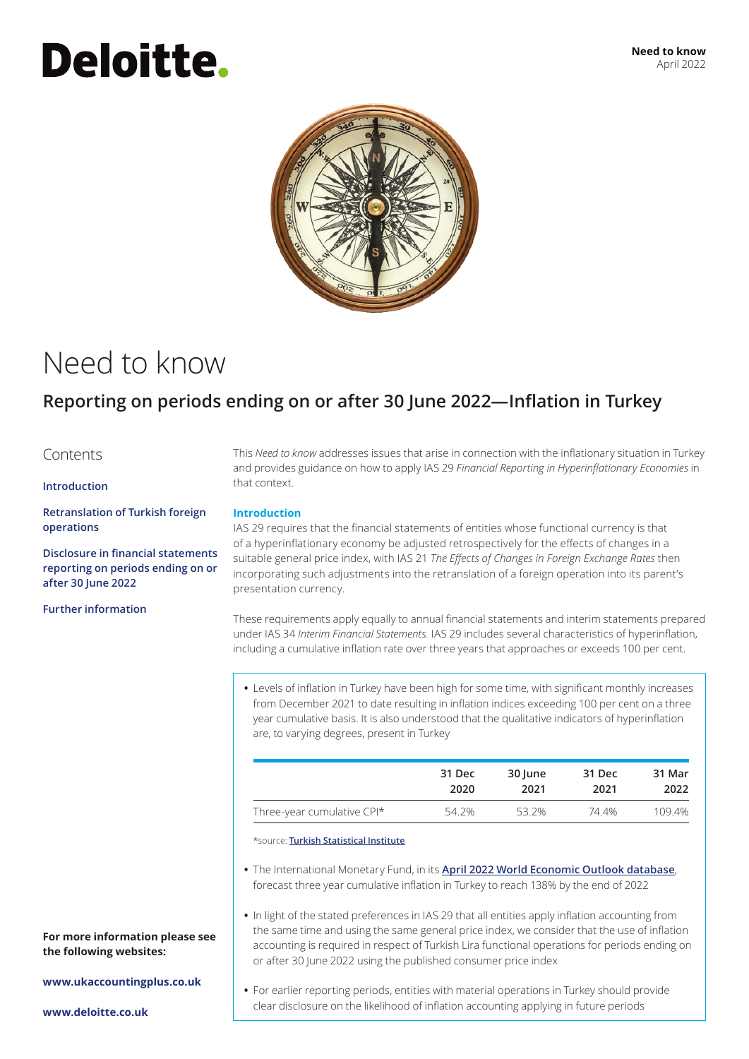# **Deloitte.**



### Need to know

### **Reporting on periods ending on or after 30 June 2022—Inflation in Turkey**

#### Contents

#### **Introduction**

**[Retranslation of Turkish foreign](#page-1-0)  [operations](#page-1-0)**

**[Disclosure in financial statements](#page-1-1)  [reporting on periods ending on or](#page-1-1)  [after 30 June 2022](#page-1-1)**

**[Further information](#page-1-2)**

This *Need to know* addresses issues that arise in connection with the inflationary situation in Turkey and provides guidance on how to apply IAS 29 *Financial Reporting in Hyperinflationary Economies* in that context.

#### **Introduction**

IAS 29 requires that the financial statements of entities whose functional currency is that of a hyperinflationary economy be adjusted retrospectively for the effects of changes in a suitable general price index, with IAS 21 *The Effects of Changes in Foreign Exchange Rates* then incorporating such adjustments into the retranslation of a foreign operation into its parent's presentation currency.

These requirements apply equally to annual financial statements and interim statements prepared under IAS 34 *Interim Financial Statements.* IAS 29 includes several characteristics of hyperinflation, including a cumulative inflation rate over three years that approaches or exceeds 100 per cent.

**•** Levels of inflation in Turkey have been high for some time, with significant monthly increases from December 2021 to date resulting in inflation indices exceeding 100 per cent on a three year cumulative basis. It is also understood that the qualitative indicators of hyperinflation are, to varying degrees, present in Turkey

|                            | 31 Dec | 30 June | 31 Dec | 31 Mar |
|----------------------------|--------|---------|--------|--------|
|                            | 2020   | 2021    | 2021   | 2022   |
| Three-year cumulative CPI* | 54.2%  | 53.2%   | 74.4%  | 109.4% |

\*source: **[Turkish Statistical Institute](https://data.tuik.gov.tr/Kategori/GetKategori?p=enflasyon-ve-fiyat-106&dil=2%0A)**

- **•** The International Monetary Fund, in its **[April 2022 World Economic Outlook database](https://www.imf.org/en/Publications/WEO/weo-database/2022/April)**, forecast three year cumulative inflation in Turkey to reach 138% by the end of 2022
- **•** In light of the stated preferences in IAS 29 that all entities apply inflation accounting from the same time and using the same general price index, we consider that the use of inflation accounting is required in respect of Turkish Lira functional operations for periods ending on or after 30 June 2022 using the published consumer price index

**www.ukaccountingplus.co.uk**

**For more information please see** 

**•** For earlier reporting periods, entities with material operations in Turkey should provide clear disclosure on the likelihood of inflation accounting applying in future periods

**www.deloitte.co.uk**

**the following websites:**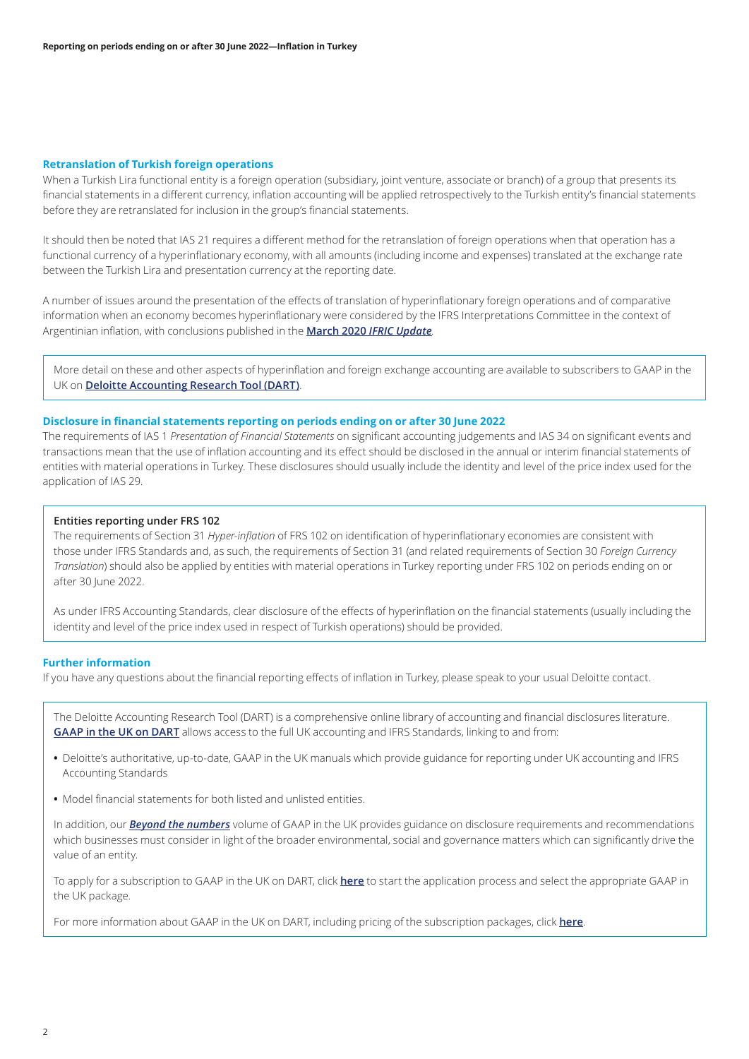#### <span id="page-1-0"></span>**Retranslation of Turkish foreign operations**

When a Turkish Lira functional entity is a foreign operation (subsidiary, joint venture, associate or branch) of a group that presents its financial statements in a different currency, inflation accounting will be applied retrospectively to the Turkish entity's financial statements before they are retranslated for inclusion in the group's financial statements.

It should then be noted that IAS 21 requires a different method for the retranslation of foreign operations when that operation has a functional currency of a hyperinflationary economy, with all amounts (including income and expenses) translated at the exchange rate between the Turkish Lira and presentation currency at the reporting date.

A number of issues around the presentation of the effects of translation of hyperinflationary foreign operations and of comparative information when an economy becomes hyperinflationary were considered by the IFRS Interpretations Committee in the context of Argentinian inflation, with conclusions published in the **March 2020** *IFRIC Update.*

More detail on these and other aspects of hyperinflation and foreign exchange accounting are available to subscribers to GAAP in the UK on **[Deloitte Accounting Research Tool \(DART\)](https://dart.deloitte.com/UKGAAP/)**.

#### <span id="page-1-1"></span>**Disclosure in financial statements reporting on periods ending on or after 30 June 2022**

The requirements of IAS 1 *Presentation of Financial Statements* on significant accounting judgements and IAS 34 on significant events and transactions mean that the use of inflation accounting and its effect should be disclosed in the annual or interim financial statements of entities with material operations in Turkey. These disclosures should usually include the identity and level of the price index used for the application of IAS 29.

#### **Entities reporting under FRS 102**

The requirements of Section 31 *Hyper-inflation* of FRS 102 on identification of hyperinflationary economies are consistent with those under IFRS Standards and, as such, the requirements of Section 31 (and related requirements of Section 30 *Foreign Currency Translation*) should also be applied by entities with material operations in Turkey reporting under FRS 102 on periods ending on or after 30 June 2022.

As under IFRS Accounting Standards, clear disclosure of the effects of hyperinflation on the financial statements (usually including the identity and level of the price index used in respect of Turkish operations) should be provided.

#### <span id="page-1-2"></span>**Further information**

If you have any questions about the financial reporting effects of inflation in Turkey, please speak to your usual Deloitte contact.

The Deloitte Accounting Research Tool (DART) is a comprehensive online library of accounting and financial disclosures literature. **[GAAP in the UK on DART](https://dart.deloitte.com/ukgaap)** allows access to the full UK accounting and IFRS Standards, linking to and from:

- **•** Deloitte's authoritative, up-to-date, GAAP in the UK manuals which provide guidance for reporting under UK accounting and IFRS Accounting Standards
- **•** Model financial statements for both listed and unlisted entities.

In addition, our *[Beyond the numbers](https://dart.deloitte.com/UKGAAP/home/beyond-numbers/deloitte-guidance/vol-g-uk-reporting-beyond-numbers)* volume of GAAP in the UK provides guidance on disclosure requirements and recommendations which businesses must consider in light of the broader environmental, social and governance matters which can significantly drive the value of an entity.

To apply for a subscription to GAAP in the UK on DART, click **[here](https://subscriptionservices.deloitte.com/#/plan)** to start the application process and select the appropriate GAAP in the UK package.

For more information about GAAP in the UK on DART, including pricing of the subscription packages, click **[here](https://www2.deloitte.com/uk/en/pages/audit/solutions/gaap-in-the-uk-on-dart.html)**.